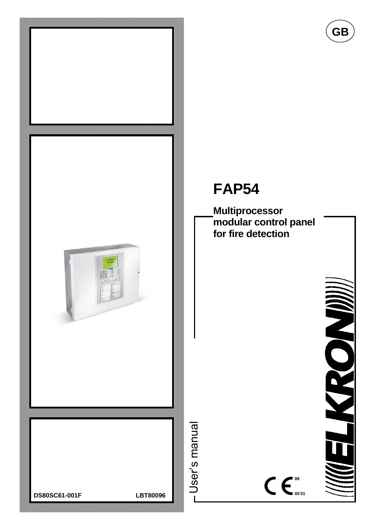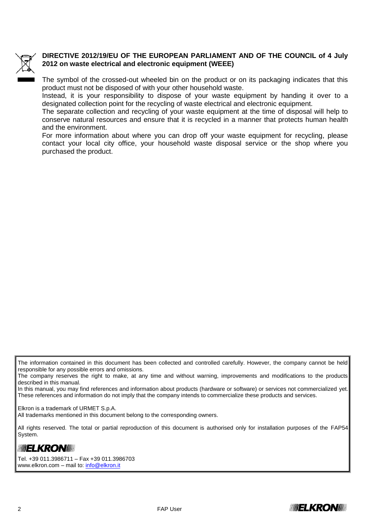

#### **DIRECTIVE 2012/19/EU OF THE EUROPEAN PARLIAMENT AND OF THE COUNCIL of 4 July 2012 on waste electrical and electronic equipment (WEEE)**

The symbol of the crossed-out wheeled bin on the product or on its packaging indicates that this product must not be disposed of with your other household waste.

Instead, it is your responsibility to dispose of your waste equipment by handing it over to a designated collection point for the recycling of waste electrical and electronic equipment.

The separate collection and recycling of your waste equipment at the time of disposal will help to conserve natural resources and ensure that it is recycled in a manner that protects human health and the environment.

For more information about where you can drop off your waste equipment for recycling, please contact your local city office, your household waste disposal service or the shop where you purchased the product.

The information contained in this document has been collected and controlled carefully. However, the company cannot be held responsible for any possible errors and omissions.

The company reserves the right to make, at any time and without warning, improvements and modifications to the products described in this manual.

In this manual, you may find references and information about products (hardware or software) or services not commercialized yet. These references and information do not imply that the company intends to commercialize these products and services.

Elkron is a trademark of URMET S.p.A.

All trademarks mentioned in this document belong to the corresponding owners.

All rights reserved. The total or partial reproduction of this document is authorised only for installation purposes of the FAP54 System.

**INNELKRONI** 

Tel. +39 011.3986711 – Fax +39 011.3986703 www.elkron.com – mail to: *[info@elkron.it](mailto:info@elkron.it)* 

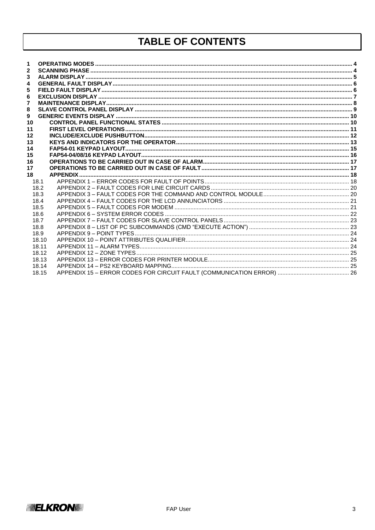# **TABLE OF CONTENTS**

| $\triangle$ PPENDIX 15 – FRROR CODES FOR CIRCUIT FALILT (COMMUNICATION FRROR) $\angle$ 26<br>18.15 |                                                                                                                   |
|----------------------------------------------------------------------------------------------------|-------------------------------------------------------------------------------------------------------------------|
|                                                                                                    | 18.1<br>18.2<br>18.3<br>18.4<br>18.5<br>18.6<br>18.7<br>18.8<br>18.9<br>18.10<br>18.11<br>18.12<br>18.13<br>18.14 |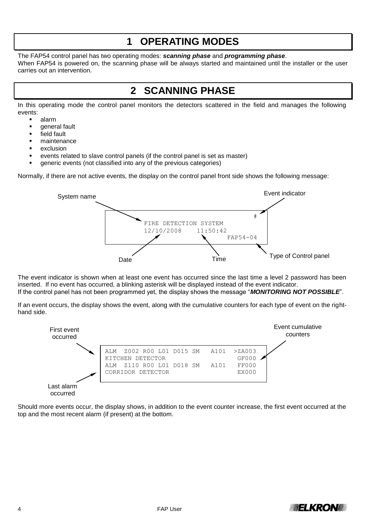### **1 OPERATING MODES**

<span id="page-3-1"></span><span id="page-3-0"></span>The FAP54 control panel has two operating modes: *scanning phase* and *programming phase*. When FAP54 is powered on, the scanning phase will be always started and maintained until the installer or the user carries out an intervention.

## **2 SCANNING PHASE**

In this operating mode the control panel monitors the detectors scattered in the field and manages the following events:

- alarm
- **general fault**
- **Field fault**
- maintenance
- exclusion
- events related to slave control panels (if the control panel is set as master)
- generic events (not classified into any of the previous categories)

Normally, if there are not active events, the display on the control panel front side shows the following message:



The event indicator is shown when at least one event has occurred since the last time a level 2 password has been inserted. If no event has occurred, a blinking asterisk will be displayed instead of the event indicator. If the control panel has not been programmed yet, the display shows the message "*MONITORING NOT POSSIBLE*".

If an event occurs, the display shows the event, along with the cumulative counters for each type of event on the righthand side.



Should more events occur, the display shows, in addition to the event counter increase, the first event occurred at the top and the most recent alarm (if present) at the bottom.

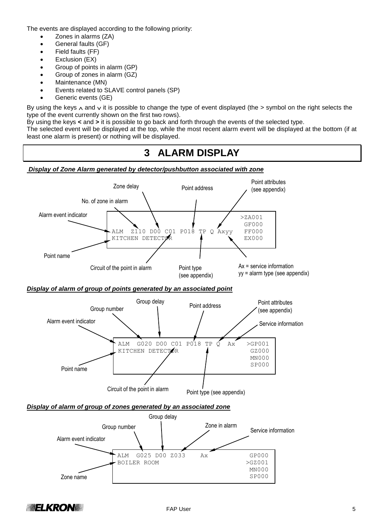The events are displayed according to the following priority:

- Zones in alarms (ZA)
- General faults (GF)
- Field faults (FF)
- Exclusion (EX)
- Group of points in alarm (GP)
- Group of zones in alarm (GZ)
- Maintenance (MN)
- Events related to SLAVE control panels (SP)
- Generic events (GE)

By using the keys  $\land$  and  $\lor$  it is possible to change the type of event displayed (the > symbol on the right selects the type of the event currently shown on the first two rows).

By using the keys **<** and **>** it is possible to go back and forth through the events of the selected type.

<span id="page-4-0"></span>The selected event will be displayed at the top, while the most recent alarm event will be displayed at the bottom (if at least one alarm is present) or nothing will be displayed.

### **3 ALARM DISPLAY**

#### *Display of Zone Alarm generated by detector/pushbutton associated with zone*





*Display of alarm of group of zones generated by an associated zone*



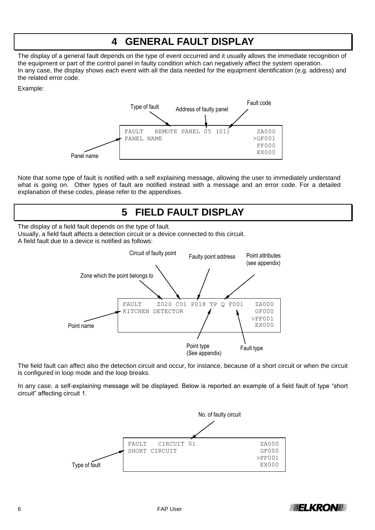## **4 GENERAL FAULT DISPLAY**

<span id="page-5-0"></span>The display of a general fault depends on the type of event occurred and it usually allows the immediate recognition of the equipment or part of the control panel in faulty condition which can negatively affect the system operation. In any case, the display shows each event with all the data needed for the equipment identification (e.g. address) and the related error code.

Example:



<span id="page-5-1"></span>Note that some type of fault is notified with a self explaining message, allowing the user to immediately understand what is going on. Other types of fault are notified instead with a message and an error code. For a detailed explanation of these codes, please refer to the appendixes.

# **5 FIELD FAULT DISPLAY**

The display of a field fault depends on the type of fault.

Usually, a field fault affects a detection circuit or a device connected to this circuit.

A field fault due to a device is notified as follows:



The field fault can affect also the detection circuit and occur, for instance, because of a short circuit or when the circuit is configured in loop mode and the loop breaks.

In any case, a self-explaining message will be displayed. Below is reported an example of a field fault of type "short circuit" affecting circuit 1.



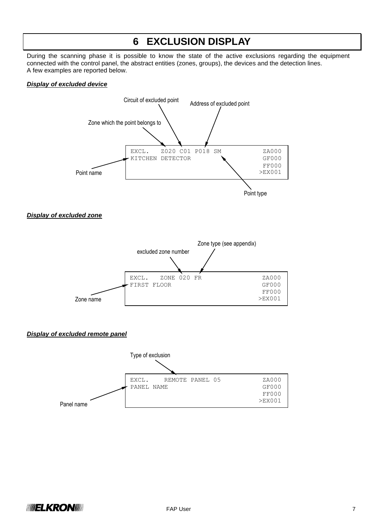## **6 EXCLUSION DISPLAY**

<span id="page-6-0"></span>During the scanning phase it is possible to know the state of the active exclusions regarding the equipment connected with the control panel, the abstract entities (zones, groups), the devices and the detection lines. A few examples are reported below.

#### *Display of excluded device*



#### *Display of excluded zone*



#### *Display of excluded remote panel*



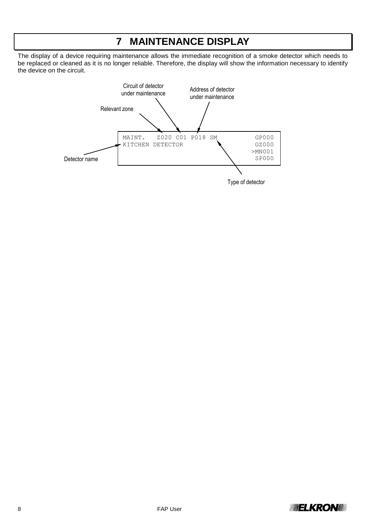# **7 MAINTENANCE DISPLAY**

<span id="page-7-0"></span>The display of a device requiring maintenance allows the immediate recognition of a smoke detector which needs to be replaced or cleaned as it is no longer reliable. Therefore, the display will show the information necessary to identify the device on the circuit.



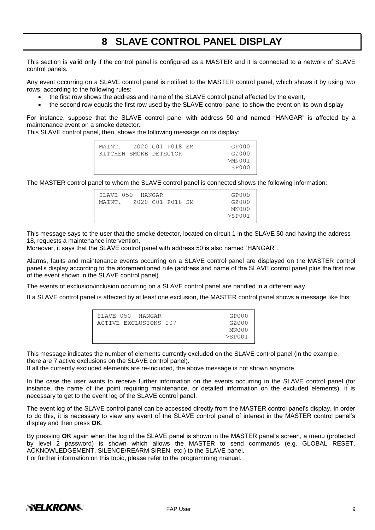### **8 SLAVE CONTROL PANEL DISPLAY**

<span id="page-8-0"></span>This section is valid only if the control panel is configured as a MASTER and it is connected to a network of SLAVE control panels.

Any event occurring on a SLAVE control panel is notified to the MASTER control panel, which shows it by using two rows, according to the following rules:

- the first row shows the address and name of the SLAVE control panel affected by the event,
- the second row equals the first row used by the SLAVE control panel to show the event on its own display

For instance, suppose that the SLAVE control panel with address 50 and named "HANGAR" is affected by a maintenance event on a smoke detector.

This SLAVE control panel, then, shows the following message on its display:

| MAINT. Z020 C01 P018 SM |  |  | GP000        |
|-------------------------|--|--|--------------|
| KITCHEN SMOKE DETECTOR  |  |  | GZ000        |
|                         |  |  | $>$ MN $001$ |
|                         |  |  | SPOOO        |
|                         |  |  |              |

The MASTER control panel to whom the SLAVE control panel is connected shows the following information:

| SLAVE 050 HANGAR |  |                  | GP000     |
|------------------|--|------------------|-----------|
| MAINT.           |  | Z020 C01 P018 SM | GZ000     |
|                  |  |                  | MN000     |
|                  |  |                  | $>$ SP001 |

This message says to the user that the smoke detector, located on circuit 1 in the SLAVE 50 and having the address 18, requests a maintenance intervention.

Moreover, it says that the SLAVE control panel with address 50 is also named "HANGAR".

Alarms, faults and maintenance events occurring on a SLAVE control panel are displayed on the MASTER control panel's display according to the aforementioned rule (address and name of the SLAVE control panel plus the first row of the event shown in the SLAVE control panel).

The events of exclusion/inclusion occurring on a SLAVE control panel are handled in a different way.

If a SLAVE control panel is affected by at least one exclusion, the MASTER control panel shows a message like this:

| SLAVE 050 HANGAR      | GP000     |
|-----------------------|-----------|
| ACTIVE EXCLUSIONS 007 | GZ000     |
|                       | MN000     |
|                       | $>$ SP001 |
|                       |           |

This message indicates the number of elements currently excluded on the SLAVE control panel (in the example, there are 7 active exclusions on the SLAVE control panel).

If all the currently excluded elements are re-included, the above message is not shown anymore.

In the case the user wants to receive further information on the events occurring in the SLAVE control panel (for instance, the name of the point requiring maintenance, or detailed information on the excluded elements), it is necessary to get to the event log of the SLAVE control panel.

The event log of the SLAVE control panel can be accessed directly from the MASTER control panel's display. In order to do this, it is necessary to view any event of the SLAVE control panel of interest in the MASTER control panel's display and then press **OK**.

By pressing **OK** again when the log of the SLAVE panel is shown in the MASTER panel's screen, a menu (protected by level 2 password) is shown which allows the MASTER to send commands (e.g. GLOBAL RESET, ACKNOWLEDGEMENT, SILENCE/REARM SIREN, etc.) to the SLAVE panel. For further information on this topic, please refer to the programming manual.

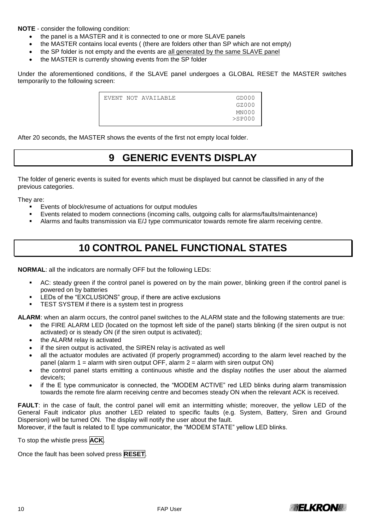**NOTE** - consider the following condition:

- the panel is a MASTER and it is connected to one or more SLAVE panels
- the MASTER contains local events ( (there are folders other than SP which are not empty)
- the SP folder is not empty and the events are all generated by the same SLAVE panel
- the MASTER is currently showing events from the SP folder

Under the aforementioned conditions, if the SLAVE panel undergoes a GLOBAL RESET the MASTER switches temporarily to the following screen:

> EVENT NOT AVAILABLE GD000 GZ000 MN000 >SP000

<span id="page-9-0"></span>After 20 seconds, the MASTER shows the events of the first not empty local folder.

### **9 GENERIC EVENTS DISPLAY**

The folder of generic events is suited for events which must be displayed but cannot be classified in any of the previous categories.

They are:

- Events of block/resume of actuations for output modules
- Events related to modem connections (incoming calls, outgoing calls for alarms/faults/maintenance)
- <span id="page-9-1"></span>Alarms and faults transmission via E/J type communicator towards remote fire alarm receiving centre.

## **10 CONTROL PANEL FUNCTIONAL STATES**

**NORMAL**: all the indicators are normally OFF but the following LEDs:

- AC: steady green if the control panel is powered on by the main power, blinking green if the control panel is powered on by batteries
- LEDs of the "EXCLUSIONS" group, if there are active exclusions
- TEST SYSTEM if there is a system test in progress

**ALARM**: when an alarm occurs, the control panel switches to the ALARM state and the following statements are true:

- the FIRE ALARM LED (located on the topmost left side of the panel) starts blinking (if the siren output is not activated) or is steady ON (if the siren output is activated);
- the ALARM relay is activated
- if the siren output is activated, the SIREN relay is activated as well
- all the actuator modules are activated (if properly programmed) according to the alarm level reached by the panel (alarm  $1 =$  alarm with siren output OFF, alarm  $2 =$  alarm with siren output ON)
- the control panel starts emitting a continuous whistle and the display notifies the user about the alarmed device/s;
- if the E type communicator is connected, the "MODEM ACTIVE" red LED blinks during alarm transmission towards the remote fire alarm receiving centre and becomes steady ON when the relevant ACK is received.

**FAULT**: in the case of fault, the control panel will emit an intermitting whistle; moreover, the yellow LED of the General Fault indicator plus another LED related to specific faults (e.g. System, Battery, Siren and Ground Dispersion) will be turned ON. The display will notify the user about the fault.

Moreover, if the fault is related to E type communicator, the "MODEM STATE" yellow LED blinks.

To stop the whistle press **ACK**.

Once the fault has been solved press **RESET**.

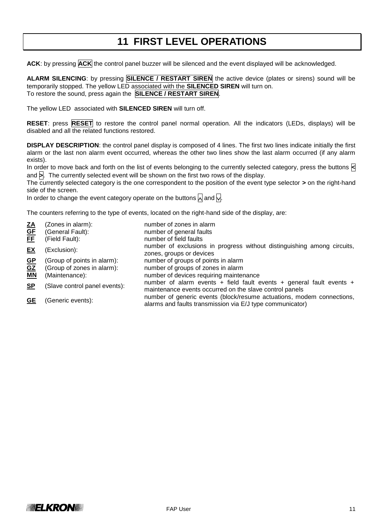### <span id="page-10-0"></span>**11 FIRST LEVEL OPERATIONS**

**ACK**: by pressing **ACK** the control panel buzzer will be silenced and the event displayed will be acknowledged.

**ALARM SILENCING**: by pressing **SILENCE / RESTART SIREN** the active device (plates or sirens) sound will be temporarily stopped. The yellow LED associated with the **SILENCED SIREN** will turn on. To restore the sound, press again the **SILENCE / RESTART SIREN**.

The yellow LED associated with **SILENCED SIREN** will turn off.

**RESET**: press **RESET** to restore the control panel normal operation. All the indicators (LEDs, displays) will be disabled and all the related functions restored.

**DISPLAY DESCRIPTION**: the control panel display is composed of 4 lines. The first two lines indicate initially the first alarm or the last non alarm event occurred, whereas the other two lines show the last alarm occurred (if any alarm exists).

In order to move back and forth on the list of events belonging to the currently selected category, press the buttons **<** and **>**. The currently selected event will be shown on the first two rows of the display.

The currently selected category is the one correspondent to the position of the event type selector **>** on the right-hand side of the screen.

In order to change the event category operate on the buttons  $\overline{\mathsf{N}}$  and  $\overline{\mathsf{N}}$ .

The counters referring to the type of events, located on the right-hand side of the display, are:

| <u>ZA</u><br>GF<br>FF             | (Zones in alarm):<br>(General Fault):<br>(Field Fault):                     | number of zones in alarm<br>number of general faults<br>number of field faults                                                     |
|-----------------------------------|-----------------------------------------------------------------------------|------------------------------------------------------------------------------------------------------------------------------------|
| EX                                | (Exclusion):                                                                | number of exclusions in progress without distinguishing among circuits,<br>zones, groups or devices                                |
| $rac{\text{GP}}{\text{GZ}}$<br>MN | (Group of points in alarm):<br>(Group of zones in alarm):<br>(Maintenance): | number of groups of points in alarm<br>number of groups of zones in alarm<br>number of devices requiring maintenance               |
| <b>SP</b>                         | (Slave control panel events):                                               | number of alarm events + field fault events + general fault events +<br>maintenance events occurred on the slave control panels    |
| GЕ                                | (Generic events):                                                           | number of generic events (block/resume actuations, modem connections,<br>alarms and faults transmission via E/J type communicator) |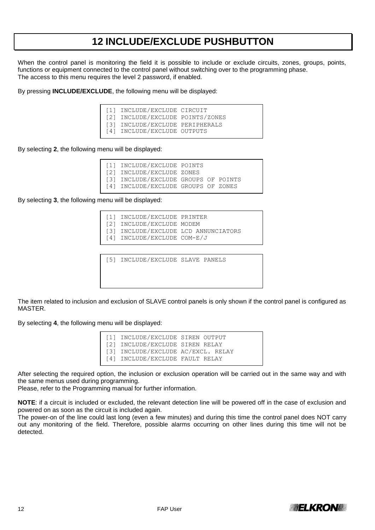### **12 INCLUDE/EXCLUDE PUSHBUTTON**

<span id="page-11-0"></span>When the control panel is monitoring the field it is possible to include or exclude circuits, zones, groups, points, functions or equipment connected to the control panel without switching over to the programming phase. The access to this menu requires the level 2 password, if enabled.

By pressing **INCLUDE/EXCLUDE**, the following menu will be displayed:

| [1] INCLUDE/EXCLUDE CIRCUIT      |  |
|----------------------------------|--|
| [2] INCLUDE/EXCLUDE POINTS/ZONES |  |
| [3] INCLUDE/EXCLUDE PERIPHERALS  |  |
| [4] INCLUDE/EXCLUDE OUTPUTS      |  |

By selecting **2**, the following menu will be displayed:

[1] INCLUDE/EXCLUDE POINTS [2] INCLUDE/EXCLUDE ZONES [3] INCLUDE/EXCLUDE GROUPS OF POINTS [4] INCLUDE/EXCLUDE GROUPS OF ZONES

By selecting **3**, the following menu will be displayed:

| [1] INCLUDE/EXCLUDE PRINTER<br>[2] INCLUDE/EXCLUDE MODEM |                                      |
|----------------------------------------------------------|--------------------------------------|
| [4] INCLUDE/EXCLUDE COM-E/J                              | [3] INCLUDE/EXCLUDE LCD ANNUNCIATORS |

|  | [5] INCLUDE/EXCLUDE SLAVE PANELS |  |
|--|----------------------------------|--|
|  |                                  |  |
|  |                                  |  |

The item related to inclusion and exclusion of SLAVE control panels is only shown if the control panel is configured as MASTER.

By selecting **4**, the following menu will be displayed:

| [1] INCLUDE/EXCLUDE SIREN OUTPUT   |  |
|------------------------------------|--|
| [2] INCLUDE/EXCLUDE SIREN RELAY    |  |
| [3] INCLUDE/EXCLUDE AC/EXCL. RELAY |  |
| [4] INCLUDE/EXCLUDE FAULT RELAY    |  |

After selecting the required option, the inclusion or exclusion operation will be carried out in the same way and with the same menus used during programming.

Please, refer to the Programming manual for further information.

**NOTE**: if a circuit is included or excluded, the relevant detection line will be powered off in the case of exclusion and powered on as soon as the circuit is included again.

The power-on of the line could last long (even a few minutes) and during this time the control panel does NOT carry out any monitoring of the field. Therefore, possible alarms occurring on other lines during this time will not be detected.

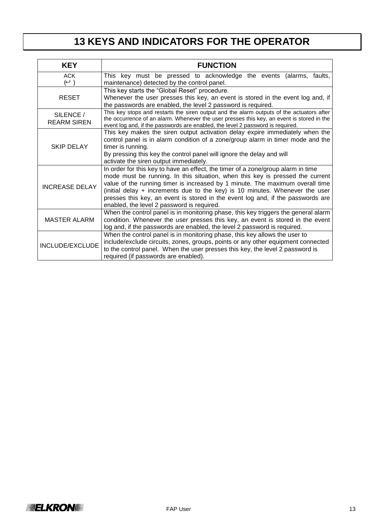# **13 KEYS AND INDICATORS FOR THE OPERATOR**

<span id="page-12-0"></span>

| <b>KEY</b>            | <b>FUNCTION</b>                                                                           |
|-----------------------|-------------------------------------------------------------------------------------------|
| <b>ACK</b>            | This key must be pressed to acknowledge the events (alarms, faults,                       |
| $(\vdash)$            | maintenance) detected by the control panel.                                               |
|                       | This key starts the "Global Reset" procedure.                                             |
| <b>RESET</b>          | Whenever the user presses this key, an event is stored in the event log and, if           |
|                       | the passwords are enabled, the level 2 password is required.                              |
| SILENCE /             | This key stops and restarts the siren output and the alarm outputs of the actuators after |
| <b>REARM SIREN</b>    | the occurrence of an alarm. Whenever the user presses this key, an event is stored in the |
|                       | event log and, if the passwords are enabled, the level 2 password is required.            |
|                       | This key makes the siren output activation delay expire immediately when the              |
|                       | control panel is in alarm condition of a zone/group alarm in timer mode and the           |
| <b>SKIP DELAY</b>     | timer is running.                                                                         |
|                       | By pressing this key the control panel will ignore the delay and will                     |
|                       | activate the siren output immediately.                                                    |
|                       | In order for this key to have an effect, the timer of a zone/group alarm in time          |
|                       | mode must be running. In this situation, when this key is pressed the current             |
| <b>INCREASE DELAY</b> | value of the running timer is increased by 1 minute. The maximum overall time             |
|                       | (initial delay $+$ increments due to the key) is 10 minutes. Whenever the user            |
|                       | presses this key, an event is stored in the event log and, if the passwords are           |
|                       | enabled, the level 2 password is required.                                                |
|                       | When the control panel is in monitoring phase, this key triggers the general alarm        |
| <b>MASTER ALARM</b>   | condition. Whenever the user presses this key, an event is stored in the event            |
|                       | log and, if the passwords are enabled, the level 2 password is required.                  |
|                       | When the control panel is in monitoring phase, this key allows the user to                |
| INCLUDE/EXCLUDE       | include/exclude circuits, zones, groups, points or any other equipment connected          |
|                       | to the control panel. When the user presses this key, the level 2 password is             |
|                       | required (if passwords are enabled).                                                      |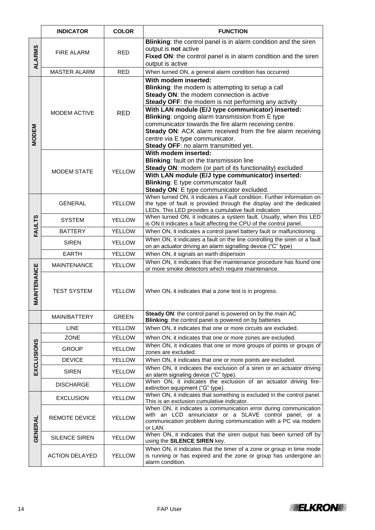|               | <b>INDICATOR</b>      | <b>COLOR</b>  | <b>FUNCTION</b>                                                                                                                                                                                                                                                                                                                                                                                                                                                                             |
|---------------|-----------------------|---------------|---------------------------------------------------------------------------------------------------------------------------------------------------------------------------------------------------------------------------------------------------------------------------------------------------------------------------------------------------------------------------------------------------------------------------------------------------------------------------------------------|
| ALARMS        | <b>FIRE ALARM</b>     | <b>RED</b>    | Blinking: the control panel is in alarm condition and the siren<br>output is not active<br>Fixed ON: the control panel is in alarm condition and the siren<br>output is active                                                                                                                                                                                                                                                                                                              |
|               | <b>MASTER ALARM</b>   | <b>RED</b>    | When turned ON, a general alarm condition has occurred                                                                                                                                                                                                                                                                                                                                                                                                                                      |
| <b>MODEM</b>  | <b>MODEM ACTIVE</b>   | <b>RED</b>    | With modem inserted:<br>Blinking: the modem is attempting to setup a call<br>Steady ON: the modem connection is active<br>Steady OFF: the modem is not performing any activity<br>With LAN module (E/J type communicator) inserted:<br>Blinking: ongoing alarm transmission from E type<br>communicator towards the fire alarm receiving centre.<br>Steady ON: ACK alarm received from the fire alarm receiving<br>centre via E type communicator.<br>Steady OFF: no alarm transmitted yet. |
|               | <b>MODEM STATE</b>    | <b>YELLOW</b> | With modem inserted:<br>Blinking: fault on the transmission line<br>Steady ON: modem (or part of its functionality) excluded<br>With LAN module (E/J type communicator) inserted:<br><b>Blinking:</b> E type communicator fault<br>Steady ON: E type communicator excluded.                                                                                                                                                                                                                 |
|               | <b>GENERAL</b>        | <b>YELLOW</b> | When turned ON, it indicates a Fault condition. Further information on<br>the type of fault is provided through the display and the dedicated<br>LEDs. This LED provides a cumulative fault indication                                                                                                                                                                                                                                                                                      |
| <b>FAULTS</b> | <b>SYSTEM</b>         | <b>YELLOW</b> | When turned ON, it indicates a system fault. Usually, when this LED<br>is ON it indicates a fault affecting the CPU of the control panel.                                                                                                                                                                                                                                                                                                                                                   |
|               | <b>BATTERY</b>        | <b>YELLOW</b> | When ON, it indicates a control panel battery fault or malfunctioning.                                                                                                                                                                                                                                                                                                                                                                                                                      |
|               | <b>SIREN</b>          | <b>YELLOW</b> | When ON, it indicates a fault on the line controlling the siren or a fault<br>on an actuator driving an alarm signalling device ("C" type)                                                                                                                                                                                                                                                                                                                                                  |
|               | <b>EARTH</b>          | <b>YELLOW</b> | When ON, it signals an earth dispersion                                                                                                                                                                                                                                                                                                                                                                                                                                                     |
|               | <b>MAINTENANCE</b>    | <b>YELLOW</b> | When ON, it indicates that the maintenance procedure has found one<br>or more smoke detectors which require maintenance.                                                                                                                                                                                                                                                                                                                                                                    |
| MAINTENANCE   | <b>TEST SYSTEM</b>    | <b>YELLOW</b> | When ON, it indicates that a zone test is in progress.                                                                                                                                                                                                                                                                                                                                                                                                                                      |
|               | MAIN/BATTERY          | <b>GREEN</b>  | Steady ON: the control panel is powered on by the main AC<br>Blinking: the control panel is powered on by batteries                                                                                                                                                                                                                                                                                                                                                                         |
|               | <b>LINE</b>           | <b>YELLOW</b> | When ON, it indicates that one or more circuits are excluded.                                                                                                                                                                                                                                                                                                                                                                                                                               |
|               | ZONE                  | <b>YELLOW</b> | When ON, it indicates that one or more zones are excluded.                                                                                                                                                                                                                                                                                                                                                                                                                                  |
| EXCLUSIONS    | <b>GROUP</b>          | <b>YELLOW</b> | When ON, it indicates that one or more groups of points or groups of<br>zones are excluded.                                                                                                                                                                                                                                                                                                                                                                                                 |
|               | <b>DEVICE</b>         | <b>YELLOW</b> | When ON, it indicates that one or more points are excluded.                                                                                                                                                                                                                                                                                                                                                                                                                                 |
|               | <b>SIREN</b>          | <b>YELLOW</b> | When ON, it indicates the exclusion of a siren or an actuator driving<br>an alarm signaling device ("C" type).                                                                                                                                                                                                                                                                                                                                                                              |
|               | <b>DISCHARGE</b>      | <b>YELLOW</b> | When ON, it indicates the exclusion of an actuator driving fire-<br>extinction equipment ("G" type).                                                                                                                                                                                                                                                                                                                                                                                        |
|               | <b>EXCLUSION</b>      | <b>YELLOW</b> | When ON, it indicates that something is excluded in the control panel.<br>This is an exclusion cumulative indicator.                                                                                                                                                                                                                                                                                                                                                                        |
| GENERAL       | REMOTE DEVICE         | <b>YELLOW</b> | When ON, it indicates a communication error during communication<br>with an LCD annunciator or a SLAVE control panel, or a<br>communication problem during communication with a PC via modem<br>or LAN.                                                                                                                                                                                                                                                                                     |
|               | SILENCE SIREN         | <b>YELLOW</b> | When ON, it indicates that the siren output has been turned off by<br>using the SILENCE SIREN key.                                                                                                                                                                                                                                                                                                                                                                                          |
|               | <b>ACTION DELAYED</b> | <b>YELLOW</b> | When ON, it indicates that the timer of a zone or group in time mode<br>is running or has expired and the zone or group has undergone an<br>alarm condition.                                                                                                                                                                                                                                                                                                                                |

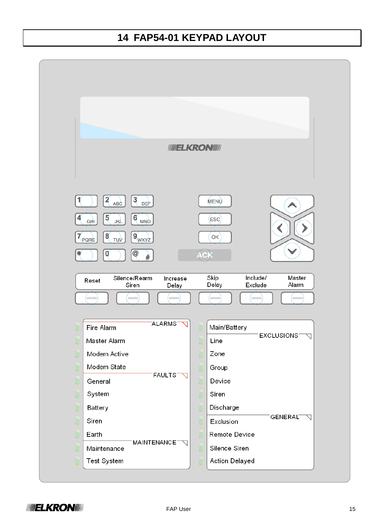# <span id="page-14-0"></span>**14 FAP54-01 KEYPAD LAYOUT**

| $\mathbf{3}$<br>$\boldsymbol{z}$<br>ABC<br>DEF             | MENU                                                    |
|------------------------------------------------------------|---------------------------------------------------------|
| 5<br>6<br><b>JKL</b><br><b>MNO</b><br>GHI                  | ESC                                                     |
| 9 <sub>WXYZ</sub><br>8<br><b>T</b> PQRS<br>TUV             | OK                                                      |
| $\circledcirc$<br>₩<br>0                                   | ACK                                                     |
| #                                                          |                                                         |
| Silence/Rearm<br>Increase<br>Reset<br>Siren<br>Delay       | Include/<br>Master<br>Skip<br>Alarm<br>Delay<br>Exclude |
|                                                            |                                                         |
|                                                            |                                                         |
| ALARMS <sup>-</sup><br>Fire Alarm<br>Ļ                     | Main/Battery<br><b>EXCLUSIONS</b>                       |
| L<br>Master Alarm                                          | Line                                                    |
| Modem Active<br>Ľ                                          | Zone                                                    |
| Modem State<br>l<br><b>FAULTS</b>                          | Group                                                   |
| D<br>General                                               | Q<br>Device                                             |
| D<br>System                                                | Siren                                                   |
|                                                            | Discharge                                               |
| D<br>Battery                                               | GENERAL <sup>-</sup>                                    |
| b<br>Siren                                                 | Exclusion                                               |
| D<br>Earth<br>MAINTENANCE <sup>-</sup><br>D<br>Maintenance | D<br>Remote Device<br>D<br>Silence Siren                |

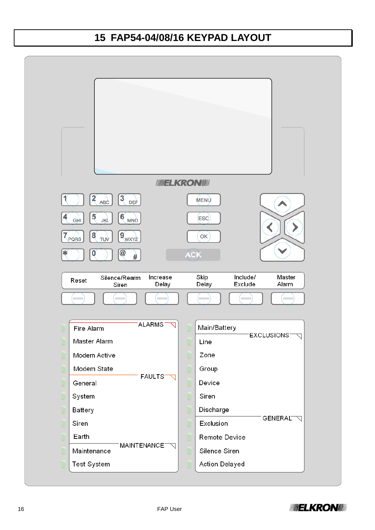# <span id="page-15-0"></span>**15 FAP54-04/08/16 KEYPAD LAYOUT**

| $\mathbf{3}$<br>$\overline{2}$<br><b>DEF</b><br>ABC  | MENU                                                    |
|------------------------------------------------------|---------------------------------------------------------|
| 5<br>$6\phantom{1}$<br><b>JKL</b><br>GHI<br>MNO      | ESC                                                     |
| 8<br>$\sqrt{9}$ WXYZ<br>7<br>PQRS<br>TUV             | OK                                                      |
| $\overline{\mathbf{Q}}$<br>0<br>₩<br>$\frac{1}{2}$   | $\checkmark$<br>ĄCĶ                                     |
|                                                      |                                                         |
| Increase<br>Silence/Rearm<br>Reset<br>Delay<br>Siren | Skip<br>Include/<br>Master<br>Delay<br>Exclude<br>Alarm |
|                                                      |                                                         |
|                                                      |                                                         |
| ALARMS<br>Fire Alarm<br>L                            | Main/Battery                                            |
| Master Alarm<br>k.                                   | <b>EXCLUSIONS</b><br>Line<br>u                          |
| D<br>Modem Active                                    | Zone<br>D                                               |
| D<br>Modem State                                     | D<br>Group                                              |
| <b>FAULTS</b><br>Ļ<br>General                        | D<br>Device                                             |
| D<br>System                                          | D<br>Siren                                              |
| D<br>Battery                                         | D<br>Discharge                                          |
| D<br>Siren                                           | GENERAL <sup>-</sup><br>D<br>Exclusion                  |
| Earth<br>D                                           | D<br>Remote Device                                      |
| MAINTENANCE <sup>-</sup><br>l<br>Maintenance         | D<br>Silence Siren                                      |
| Test System<br>L                                     | Action Delayed<br>Q                                     |

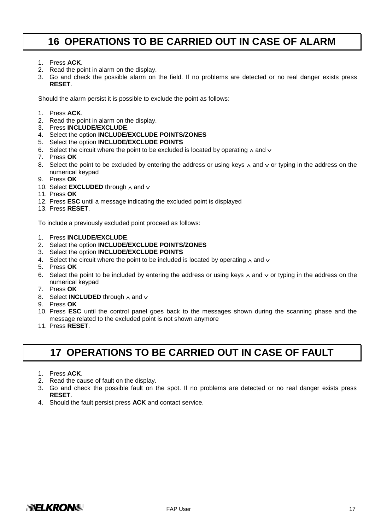## <span id="page-16-0"></span>**16 OPERATIONS TO BE CARRIED OUT IN CASE OF ALARM**

- 1. Press **ACK**.
- 2. Read the point in alarm on the display.
- 3. Go and check the possible alarm on the field. If no problems are detected or no real danger exists press **RESET**.

Should the alarm persist it is possible to exclude the point as follows:

- 1. Press **ACK**.
- 2. Read the point in alarm on the display.
- 3. Press **INCLUDE/EXCLUDE**.
- 4. Select the option **INCLUDE/EXCLUDE POINTS/ZONES**
- 5. Select the option **INCLUDE/EXCLUDE POINTS**
- 6. Select the circuit where the point to be excluded is located by operating  $\wedge$  and  $\vee$
- 7. Press **OK**
- 8. Select the point to be excluded by entering the address or using keys  $\wedge$  and  $\vee$  or typing in the address on the numerical keypad
- 9. Press **OK**
- 10. Select **EXCLUDED** through  $\land$  and  $\lor$
- 11. Press **OK**
- 12. Press **ESC** until a message indicating the excluded point is displayed
- 13. Press **RESET**.

To include a previously excluded point proceed as follows:

- 1. Press **INCLUDE/EXCLUDE**.
- 2. Select the option **INCLUDE/EXCLUDE POINTS/ZONES**
- 3. Select the option **INCLUDE/EXCLUDE POINTS**
- 4. Select the circuit where the point to be included is located by operating  $\wedge$  and  $\vee$
- 5. Press **OK**
- 6. Select the point to be included by entering the address or using keys  $\wedge$  and  $\vee$  or typing in the address on the numerical keypad
- 7. Press **OK**
- 8. Select **INCLUDED** through  $\land$  and  $\lor$
- 9. Press **OK**
- 10. Press **ESC** until the control panel goes back to the messages shown during the scanning phase and the message related to the excluded point is not shown anymore
- 11. Press **RESET**.

## <span id="page-16-1"></span>**17 OPERATIONS TO BE CARRIED OUT IN CASE OF FAULT**

- 1. Press **ACK**.
- 2. Read the cause of fault on the display.
- 3. Go and check the possible fault on the spot. If no problems are detected or no real danger exists press **RESET**.
- 4. Should the fault persist press **ACK** and contact service.

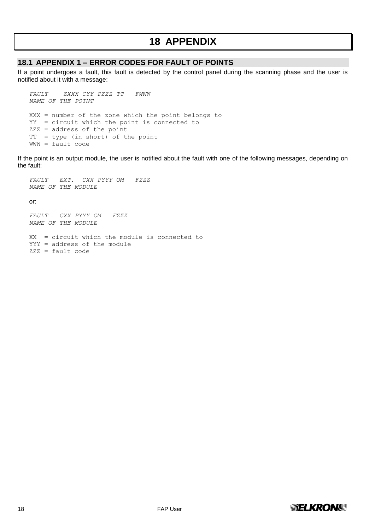#### <span id="page-17-1"></span><span id="page-17-0"></span>**18.1 APPENDIX 1 – ERROR CODES FOR FAULT OF POINTS**

If a point undergoes a fault, this fault is detected by the control panel during the scanning phase and the user is notified about it with a message:

*FAULT ZXXX CYY PZZZ TT FWWW NAME OF THE POINT* XXX = number of the zone which the point belongs to YY = circuit which the point is connected to ZZZ = address of the point TT = type (in short) of the point WWW = fault code

If the point is an output module, the user is notified about the fault with one of the following messages, depending on the fault:

*FAULT EXT. CXX PYYY OM FZZZ NAME OF THE MODULE*

or:

*FAULT CXX PYYY OM FZZZ NAME OF THE MODULE*

XX = circuit which the module is connected to YYY = address of the module  $ZZZ = \text{fault code}$ 

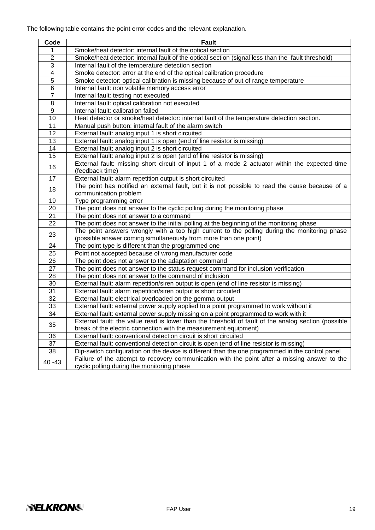The following table contains the point error codes and the relevant explanation.

| Code           | <b>Fault</b>                                                                                                                                                                  |
|----------------|-------------------------------------------------------------------------------------------------------------------------------------------------------------------------------|
| 1              | Smoke/heat detector: internal fault of the optical section                                                                                                                    |
| $\overline{c}$ | Smoke/heat detector: internal fault of the optical section (signal less than the fault threshold)                                                                             |
| 3              | Internal fault of the temperature detection section                                                                                                                           |
| 4              | Smoke detector: error at the end of the optical calibration procedure                                                                                                         |
| 5              | Smoke detector: optical calibration is missing because of out of range temperature                                                                                            |
| 6              | Internal fault: non volatile memory access error                                                                                                                              |
| 7              | Internal fault: testing not executed                                                                                                                                          |
| 8              | Internal fault: optical calibration not executed                                                                                                                              |
| 9              | Internal fault: calibration failed                                                                                                                                            |
| 10             | Heat detector or smoke/heat detector: internal fault of the temperature detection section.                                                                                    |
| 11             | Manual push button: internal fault of the alarm switch                                                                                                                        |
| 12             | External fault: analog input 1 is short circuited                                                                                                                             |
| 13             | External fault: analog input 1 is open (end of line resistor is missing)                                                                                                      |
| 14             | External fault; analog input 2 is short circuited                                                                                                                             |
| 15             | External fault: analog input 2 is open (end of line resistor is missing)                                                                                                      |
| 16             | External fault: missing short circuit of input 1 of a mode 2 actuator within the expected time                                                                                |
|                | (feedback time)                                                                                                                                                               |
| 17             | External fault: alarm repetition output is short circuited                                                                                                                    |
| 18             | The point has notified an external fault, but it is not possible to read the cause because of a                                                                               |
|                | communication problem                                                                                                                                                         |
| 19             | Type programming error                                                                                                                                                        |
| 20             | The point does not answer to the cyclic polling during the monitoring phase                                                                                                   |
| 21             | The point does not answer to a command                                                                                                                                        |
| 22             | The point does not answer to the initial polling at the beginning of the monitoring phase                                                                                     |
| 23             | The point answers wrongly with a too high current to the polling during the monitoring phase                                                                                  |
|                | (possible answer coming simultaneously from more than one point)                                                                                                              |
| 24             | The point type is different than the programmed one                                                                                                                           |
| 25             | Point not accepted because of wrong manufacturer code                                                                                                                         |
| 26             | The point does not answer to the adaptation command                                                                                                                           |
| 27             | The point does not answer to the status request command for inclusion verification                                                                                            |
| 28             | The point does not answer to the command of inclusion                                                                                                                         |
| 30<br>31       | External fault: alarm repetition/siren output is open (end of line resistor is missing)                                                                                       |
| 32             | External fault: alarm repetition/siren output is short circuited                                                                                                              |
| 33             | External fault: electrical overloaded on the gemma output                                                                                                                     |
| 34             | External fault: external power supply applied to a point programmed to work without it<br>External fault: external power supply missing on a point programmed to work with it |
|                | External fault: the value read is lower than the threshold of fault of the analog section (possible                                                                           |
| 35             | break of the electric connection with the measurement equipment)                                                                                                              |
| 36             | External fault: conventional detection circuit is short circuited                                                                                                             |
| 37             | External fault: conventional detection circuit is open (end of line resistor is missing)                                                                                      |
| 38             | Dip-switch configuration on the device is different than the one programmed in the control panel                                                                              |
|                | Failure of the attempt to recovery communication with the point after a missing answer to the                                                                                 |
| $40 - 43$      | cyclic polling during the monitoring phase                                                                                                                                    |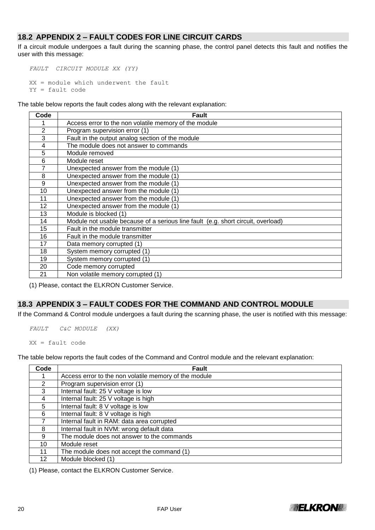### <span id="page-19-0"></span>**18.2 APPENDIX 2 – FAULT CODES FOR LINE CIRCUIT CARDS**

If a circuit module undergoes a fault during the scanning phase, the control panel detects this fault and notifies the user with this message:

```
FAULT CIRCUIT MODULE XX (YY)
XX = module which underwent the fault
YY = fault code
```
The table below reports the fault codes along with the relevant explanation:

| Code | Fault                                                                            |
|------|----------------------------------------------------------------------------------|
|      | Access error to the non volatile memory of the module                            |
| 2    | Program supervision error (1)                                                    |
| 3    | Fault in the output analog section of the module                                 |
| 4    | The module does not answer to commands                                           |
| 5    | Module removed                                                                   |
| 6    | Module reset                                                                     |
| 7    | Unexpected answer from the module (1)                                            |
| 8    | Unexpected answer from the module (1)                                            |
| 9    | Unexpected answer from the module (1)                                            |
| 10   | Unexpected answer from the module (1)                                            |
| 11   | Unexpected answer from the module (1)                                            |
| 12   | Unexpected answer from the module (1)                                            |
| 13   | Module is blocked (1)                                                            |
| 14   | Module not usable because of a serious line fault (e.g. short circuit, overload) |
| 15   | Fault in the module transmitter                                                  |
| 16   | Fault in the module transmitter                                                  |
| 17   | Data memory corrupted (1)                                                        |
| 18   | System memory corrupted (1)                                                      |
| 19   | System memory corrupted (1)                                                      |
| 20   | Code memory corrupted                                                            |
| 21   | Non volatile memory corrupted (1)                                                |

(1) Please, contact the ELKRON Customer Service.

#### <span id="page-19-1"></span>**18.3 APPENDIX 3 – FAULT CODES FOR THE COMMAND AND CONTROL MODULE**

If the Command & Control module undergoes a fault during the scanning phase, the user is notified with this message:

*FAULT C&C MODULE (XX)*

XX = fault code

The table below reports the fault codes of the Command and Control module and the relevant explanation:

| Code            | Fault                                                 |
|-----------------|-------------------------------------------------------|
|                 | Access error to the non volatile memory of the module |
| 2               | Program supervision error (1)                         |
| 3               | Internal fault: 25 V voltage is low                   |
| 4               | Internal fault: 25 V voltage is high                  |
| 5               | Internal fault: 8 V voltage is low                    |
| 6               | Internal fault: 8 V voltage is high                   |
|                 | Internal fault in RAM: data area corrupted            |
| 8               | Internal fault in NVM: wrong default data             |
| 9               | The module does not answer to the commands            |
| 10              | Module reset                                          |
| 11              | The module does not accept the command (1)            |
| 12 <sup>2</sup> | Module blocked (1)                                    |

(1) Please, contact the ELKRON Customer Service.

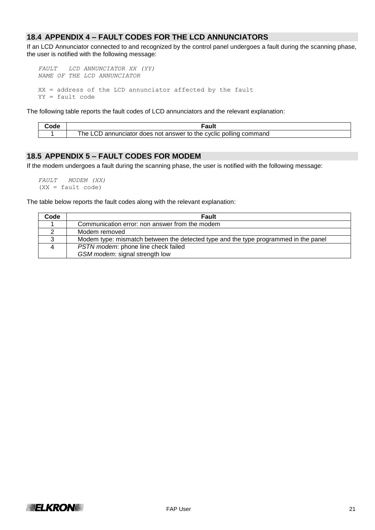### <span id="page-20-0"></span>**18.4 APPENDIX 4 – FAULT CODES FOR THE LCD ANNUNCIATORS**

If an LCD Annunciator connected to and recognized by the control panel undergoes a fault during the scanning phase, the user is notified with the following message:

```
FAULT LCD ANNUNCIATOR XX (YY)
NAME OF THE LCD ANNUNCIATOR
XX = address of the LCD annunciator affected by the fault
YY = fault code
```
The following table reports the fault codes of LCD annunciators and the relevant explanation:

| วde | aun                                                                                                                              |
|-----|----------------------------------------------------------------------------------------------------------------------------------|
|     | $\sim$ $\sim$<br><br>The<br>, not answer<br>, cvclic polling<br>the<br>annunciator<br>to<br>does<br>command<br>_\ <i>&gt;</i> L_ |

### <span id="page-20-1"></span>**18.5 APPENDIX 5 – FAULT CODES FOR MODEM**

If the modem undergoes a fault during the scanning phase, the user is notified with the following message:

*FAULT MODEM (XX)*  $(XX = fault code)$ 

The table below reports the fault codes along with the relevant explanation:

| Code | <b>Fault</b>                                                                        |
|------|-------------------------------------------------------------------------------------|
|      | Communication error: non answer from the modem                                      |
|      | Modem removed                                                                       |
|      | Modem type: mismatch between the detected type and the type programmed in the panel |
|      | PSTN modem: phone line check failed                                                 |
|      | GSM modem: signal strength low                                                      |

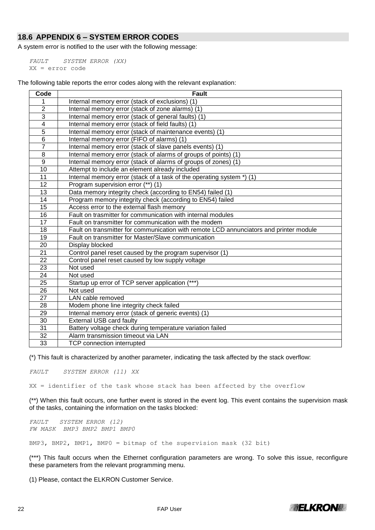### <span id="page-21-0"></span>**18.6 APPENDIX 6 – SYSTEM ERROR CODES**

A system error is notified to the user with the following message:

*FAULT SYSTEM ERROR (XX)* XX = error code

The following table reports the error codes along with the relevant explanation:

| Code            | <b>Fault</b>                                                                           |
|-----------------|----------------------------------------------------------------------------------------|
|                 | Internal memory error (stack of exclusions) (1)                                        |
| $\overline{2}$  | Internal memory error (stack of zone alarms) (1)                                       |
| $\overline{3}$  | Internal memory error (stack of general faults) (1)                                    |
| $\overline{4}$  | Internal memory error (stack of field faults) (1)                                      |
| 5               | Internal memory error (stack of maintenance events) (1)                                |
| $6\phantom{1}$  | Internal memory error (FIFO of alarms) (1)                                             |
| $\overline{7}$  | Internal memory error (stack of slave panels events) (1)                               |
| 8               | Internal memory error (stack of alarms of groups of points) (1)                        |
| 9               | Internal memory error (stack of alarms of groups of zones) (1)                         |
| 10              | Attempt to include an element already included                                         |
| 11              | Internal memory error (stack of a task of the operating system *) (1)                  |
| 12              | Program supervision error (**) (1)                                                     |
| $\overline{13}$ | Data memory integrity check (according to EN54) failed (1)                             |
| 14              | Program memory integrity check (according to EN54) failed                              |
| 15              | Access error to the external flash memory                                              |
| 16              | Fault on trasmitter for communication with internal modules                            |
| 17              | Fault on transmitter for communication with the modem                                  |
| 18              | Fault on transmitter for communication with remote LCD annunciators and printer module |
| $\overline{19}$ | Fault on transmitter for Master/Slave communication                                    |
| 20              | Display blocked                                                                        |
| 21              | Control panel reset caused by the program supervisor (1)                               |
| 22              | Control panel reset caused by low supply voltage                                       |
| 23              | Not used                                                                               |
| $\overline{24}$ | Not used                                                                               |
| $\overline{25}$ | Startup up error of TCP server application (***)                                       |
| 26              | Not used                                                                               |
| 27              | LAN cable removed                                                                      |
| 28              | Modem phone line integrity check failed                                                |
| $\overline{29}$ | Internal memory error (stack of generic events) (1)                                    |
| $\overline{30}$ | External USB card faulty                                                               |
| 31              | Battery voltage check during temperature variation failed                              |
| $\overline{32}$ | Alarm transmission timeout via LAN                                                     |
| 33              | <b>TCP</b> connection interrupted                                                      |

(\*) This fault is characterized by another parameter, indicating the task affected by the stack overflow:

*FAULT SYSTEM ERROR (11) XX*

XX = identifier of the task whose stack has been affected by the overflow

(\*\*) When this fault occurs, one further event is stored in the event log. This event contains the supervision mask of the tasks, containing the information on the tasks blocked:

*FAULT SYSTEM ERROR (12) FW MASK BMP3 BMP2 BMP1 BMP0*

BMP3, BMP2, BMP1, BMP0 = bitmap of the supervision mask (32 bit)

(\*\*\*) This fault occurs when the Ethernet configuration parameters are wrong. To solve this issue, reconfigure these parameters from the relevant programming menu.

(1) Please, contact the ELKRON Customer Service.

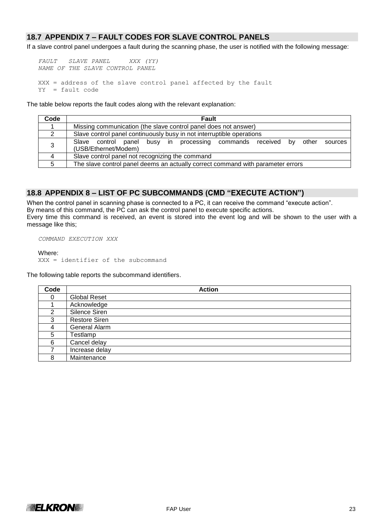### <span id="page-22-0"></span>**18.7 APPENDIX 7 – FAULT CODES FOR SLAVE CONTROL PANELS**

If a slave control panel undergoes a fault during the scanning phase, the user is notified with the following message:

*FAULT SLAVE PANEL XXX (YY) NAME OF THE SLAVE CONTROL PANEL* XXX = address of the slave control panel affected by the fault YY = fault code

The table below reports the fault codes along with the relevant explanation:

| Code | Fault                                                                                                |
|------|------------------------------------------------------------------------------------------------------|
|      | Missing communication (the slave control panel does not answer)                                      |
|      | Slave control panel continuously busy in not interruptible operations                                |
| 3    | Slave control panel busy in processing commands received by other<br>sources<br>(USB/Ethernet/Modem) |
|      | Slave control panel not recognizing the command                                                      |
|      | The slave control panel deems an actually correct command with parameter errors                      |

#### <span id="page-22-1"></span>**18.8 APPENDIX 8 – LIST OF PC SUBCOMMANDS (CMD "EXECUTE ACTION")**

When the control panel in scanning phase is connected to a PC, it can receive the command "execute action". By means of this command, the PC can ask the control panel to execute specific actions. Every time this command is received, an event is stored into the event log and will be shown to the user with a message like this;

*COMMAND EXECUTION XXX*

Where: XXX = identifier of the subcommand

The following table reports the subcommand identifiers.

| Code | <b>Action</b>        |
|------|----------------------|
| 0    | <b>Global Reset</b>  |
|      | Acknowledge          |
| 2    | Silence Siren        |
| 3    | <b>Restore Siren</b> |
| 4    | General Alarm        |
| 5    | Testlamp             |
| 6    | Cancel delay         |
|      | Increase delay       |
|      | Maintenance          |

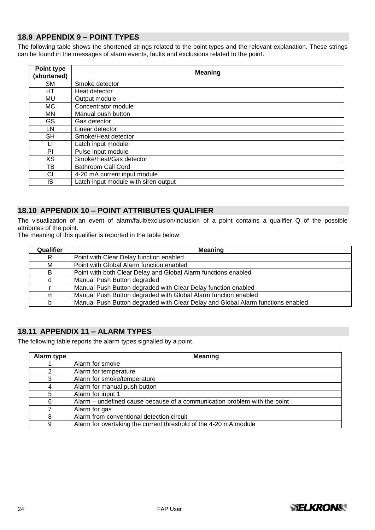### <span id="page-23-0"></span>**18.9 APPENDIX 9 – POINT TYPES**

The following table shows the shortened strings related to the point types and the relevant explanation. These strings can be found in the messages of alarm events, faults and exclusions related to the point.

| Point type<br>(shortened) | <b>Meaning</b>                       |
|---------------------------|--------------------------------------|
| <b>SM</b>                 | Smoke detector                       |
| HТ                        | Heat detector                        |
| MU                        | Output module                        |
| <b>MC</b>                 | Concentrator module                  |
| MN                        | Manual push button                   |
| GS                        | Gas detector                         |
| LN                        | Linear detector                      |
| SH                        | Smoke/Heat detector                  |
| LI                        | Latch input module                   |
| PI                        | Pulse input module                   |
| XS                        | Smoke/Heat/Gas detector              |
| TB                        | <b>Bathroom Call Cord</b>            |
| CI                        | 4-20 mA current input module         |
| IS                        | Latch input module with siren output |

#### <span id="page-23-1"></span>**18.10 APPENDIX 10 – POINT ATTRIBUTES QUALIFIER**

The visualization of an event of alarm/fault/exclusion/inclusion of a point contains a qualifier Q of the possible attributes of the point.

The meaning of this qualifier is reported in the table below:

| Qualifier    | <b>Meaning</b>                                                                  |
|--------------|---------------------------------------------------------------------------------|
| R            | Point with Clear Delay function enabled                                         |
| м            | Point with Global Alarm function enabled                                        |
| B            | Point with both Clear Delay and Global Alarm functions enabled                  |
| d            | Manual Push Button degraded                                                     |
|              | Manual Push Button degraded with Clear Delay function enabled                   |
| m            | Manual Push Button degraded with Global Alarm function enabled                  |
| <sub>b</sub> | Manual Push Button degraded with Clear Delay and Global Alarm functions enabled |

### <span id="page-23-2"></span>**18.11 APPENDIX 11 – ALARM TYPES**

The following table reports the alarm types signalled by a point.

| Alarm type | <b>Meaning</b>                                                            |
|------------|---------------------------------------------------------------------------|
|            | Alarm for smoke                                                           |
| າ          | Alarm for temperature                                                     |
| 3          | Alarm for smoke/temperature                                               |
|            | Alarm for manual push button                                              |
| 5          | Alarm for input 1                                                         |
| 6          | Alarm – undefined cause because of a communication problem with the point |
|            | Alarm for gas                                                             |
| 8          | Alarm from conventional detection circuit                                 |
| 9          | Alarm for overtaking the current threshold of the 4-20 mA module          |

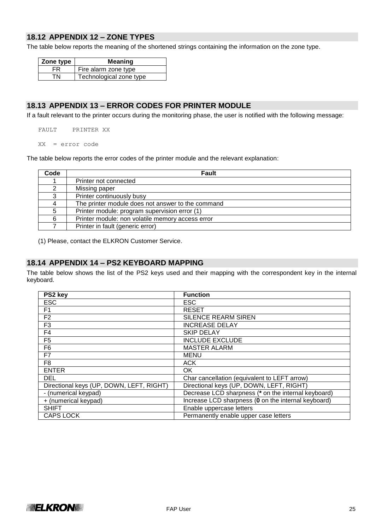### <span id="page-24-0"></span>**18.12 APPENDIX 12 – ZONE TYPES**

The table below reports the meaning of the shortened strings containing the information on the zone type.

| Zone type | <b>Meaning</b>          |
|-----------|-------------------------|
| FR        | Fire alarm zone type    |
| TN        | Technological zone type |

#### <span id="page-24-1"></span>**18.13 APPENDIX 13 – ERROR CODES FOR PRINTER MODULE**

If a fault relevant to the printer occurs during the monitoring phase, the user is notified with the following message:

FAULT PRINTER XX

XX = error code

The table below reports the error codes of the printer module and the relevant explanation:

| Code | <b>Fault</b>                                      |
|------|---------------------------------------------------|
|      | Printer not connected                             |
|      | Missing paper                                     |
|      | Printer continuously busy                         |
|      | The printer module does not answer to the command |
|      | Printer module: program supervision error (1)     |
| 6    | Printer module: non volatile memory access error  |
|      | Printer in fault (generic error)                  |

(1) Please, contact the ELKRON Customer Service.

#### <span id="page-24-2"></span>**18.14 APPENDIX 14 – PS2 KEYBOARD MAPPING**

The table below shows the list of the PS2 keys used and their mapping with the correspondent key in the internal keyboard.

| PS2 key                                  | <b>Function</b>                                     |
|------------------------------------------|-----------------------------------------------------|
| <b>ESC</b>                               | ESC.                                                |
| F1                                       | <b>RESET</b>                                        |
| F <sub>2</sub>                           | <b>SILENCE REARM SIREN</b>                          |
| F <sub>3</sub>                           | <b>INCREASE DELAY</b>                               |
| F <sub>4</sub>                           | <b>SKIP DELAY</b>                                   |
| F <sub>5</sub>                           | <b>INCLUDE EXCLUDE</b>                              |
| F6                                       | <b>MASTER ALARM</b>                                 |
| F7                                       | <b>MENU</b>                                         |
| F8                                       | <b>ACK</b>                                          |
| <b>ENTER</b>                             | OK.                                                 |
| <b>DEL</b>                               | Char cancellation (equivalent to LEFT arrow)        |
| Directional keys (UP, DOWN, LEFT, RIGHT) | Directional keys (UP, DOWN, LEFT, RIGHT)            |
| - (numerical keypad)                     | Decrease LCD sharpness (* on the internal keyboard) |
| + (numerical keypad)                     | Increase LCD sharpness (0 on the internal keyboard) |
| <b>SHIFT</b>                             | Enable uppercase letters                            |
| <b>CAPS LOCK</b>                         | Permanently enable upper case letters               |

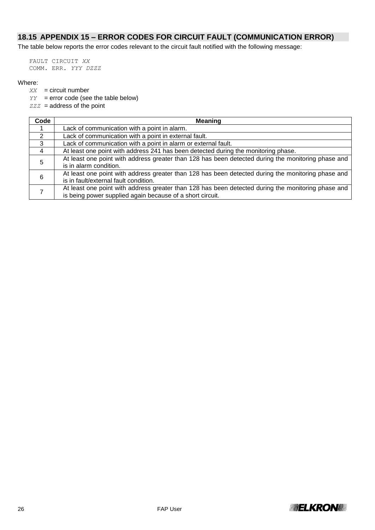### <span id="page-25-0"></span>**18.15 APPENDIX 15 – ERROR CODES FOR CIRCUIT FAULT (COMMUNICATION ERROR)**

The table below reports the error codes relevant to the circuit fault notified with the following message:

FAULT CIRCUIT *XX* COMM. ERR. *YYY DZZZ*

#### Where:

- *XX* = circuit number
- *YY* = error code (see the table below)
- *ZZZ* = address of the point

| Code | <b>Meaning</b>                                                                                                                                                  |  |
|------|-----------------------------------------------------------------------------------------------------------------------------------------------------------------|--|
|      | Lack of communication with a point in alarm.                                                                                                                    |  |
| 2    | Lack of communication with a point in external fault.                                                                                                           |  |
| 3    | Lack of communication with a point in alarm or external fault.                                                                                                  |  |
| 4    | At least one point with address 241 has been detected during the monitoring phase.                                                                              |  |
| 5    | At least one point with address greater than 128 has been detected during the monitoring phase and<br>is in alarm condition.                                    |  |
| 6    | At least one point with address greater than 128 has been detected during the monitoring phase and<br>is in fault/external fault condition.                     |  |
|      | At least one point with address greater than 128 has been detected during the monitoring phase and<br>is being power supplied again because of a short circuit. |  |

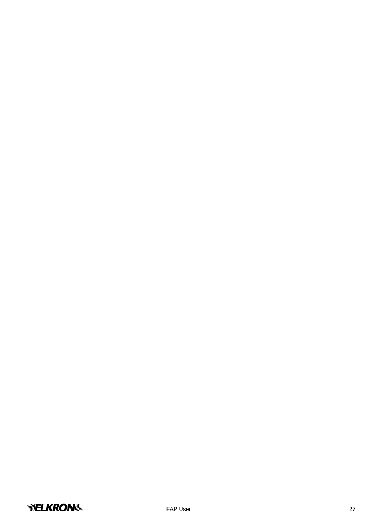